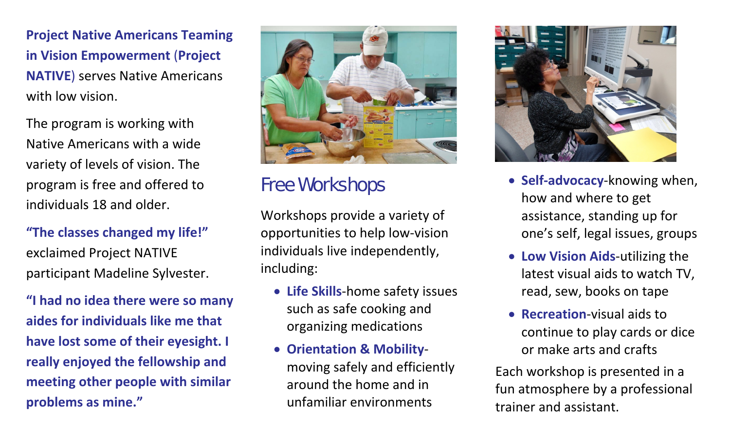**Project Native Americans Teaming in Vision Empowerment** (**Project NATIVE**) serves Native Americans with low vision.

The program is working with Native Americans with <sup>a</sup> wide variety of levels of vision. The program is free and offered to individuals 18 and older.

#### **"The classes changed my life!"** exclaimed Project NATIVE participant Madeline Sylvester.

**"I had no idea there were so many aides for individuals like me that have lost some of their eyesight. I really enjoyed the fellowship and meeting other people with similar problems as mine."**



### Free Workshops

Workshops provide <sup>a</sup> variety of opportunities to help low‐vision individuals live independently, including:

- **Life Skills**‐home safety issues such as safe cooking and organizing medications
- **Orientation & Mobility**‐ moving safely and efficiently around the home and in unfamiliar environments



- **Self‐advocacy**‐knowing when, how and where to get assistance, standing up for one's self, legal issues, groups
- **Low Vision Aids**‐utilizing the latest visual aids to watch TV, read, sew, books on tape
- **Recreation-visual aids to** continue to play cards or dice or make arts and crafts

Each workshop is presented in <sup>a</sup> fun atmosphere by <sup>a</sup> professional trainer and assistant.